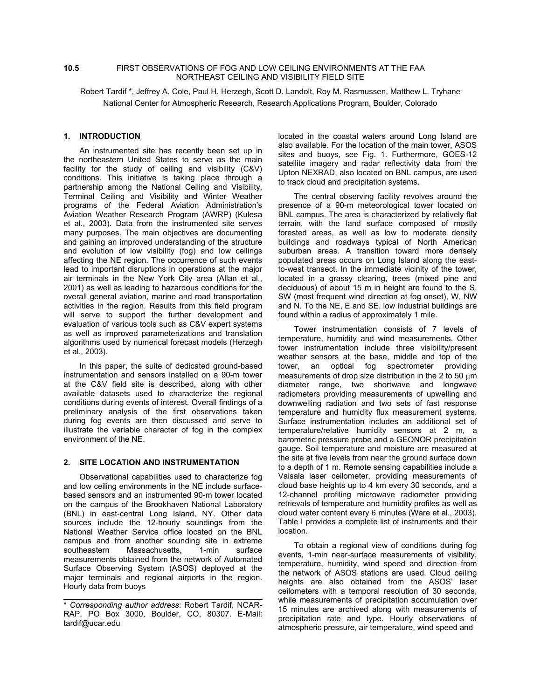## **10.5** FIRST OBSERVATIONS OF FOG AND LOW CEILING ENVIRONMENTS AT THE FAA NORTHEAST CEILING AND VISIBILITY FIELD SITE

Robert Tardif \*, Jeffrey A. Cole, Paul H. Herzegh, Scott D. Landolt, Roy M. Rasmussen, Matthew L. Tryhane National Center for Atmospheric Research, Research Applications Program, Boulder, Colorado

# **1. INTRODUCTION**

An instrumented site has recently been set up in the northeastern United States to serve as the main facility for the study of ceiling and visibility (C&V) conditions. This initiative is taking place through a partnership among the National Ceiling and Visibility, Terminal Ceiling and Visibility and Winter Weather programs of the Federal Aviation Administration's Aviation Weather Research Program (AWRP) (Kulesa et al., 2003). Data from the instrumented site serves many purposes. The main objectives are documenting and gaining an improved understanding of the structure and evolution of low visibility (fog) and low ceilings affecting the NE region. The occurrence of such events lead to important disruptions in operations at the major air terminals in the New York City area (Allan et al., 2001) as well as leading to hazardous conditions for the overall general aviation, marine and road transportation activities in the region. Results from this field program will serve to support the further development and evaluation of various tools such as C&V expert systems as well as improved parameterizations and translation algorithms used by numerical forecast models (Herzegh et al., 2003).

In this paper, the suite of dedicated ground-based instrumentation and sensors installed on a 90-m tower at the C&V field site is described, along with other available datasets used to characterize the regional conditions during events of interest. Overall findings of a preliminary analysis of the first observations taken during fog events are then discussed and serve to illustrate the variable character of fog in the complex environment of the NE.

### **2. SITE LOCATION AND INSTRUMENTATION**

Observational capabilities used to characterize fog and low ceiling environments in the NE include surfacebased sensors and an instrumented 90-m tower located on the campus of the Brookhaven National Laboratory (BNL) in east-central Long Island, NY. Other data sources include the 12-hourly soundings from the National Weather Service office located on the BNL campus and from another sounding site in extreme southeastern Massachusetts, 1-min surface measurements obtained from the network of Automated Surface Observing System (ASOS) deployed at the major terminals and regional airports in the region. Hourly data from buoys

located in the coastal waters around Long Island are also available. For the location of the main tower, ASOS sites and buoys, see Fig. 1. Furthermore, GOES-12 satellite imagery and radar reflectivity data from the Upton NEXRAD, also located on BNL campus, are used to track cloud and precipitation systems.

The central observing facility revolves around the presence of a 90-m meteorological tower located on BNL campus. The area is characterized by relatively flat terrain, with the land surface composed of mostly forested areas, as well as low to moderate density buildings and roadways typical of North American suburban areas. A transition toward more densely populated areas occurs on Long Island along the eastto-west transect. In the immediate vicinity of the tower, located in a grassy clearing, trees (mixed pine and deciduous) of about 15 m in height are found to the S, SW (most frequent wind direction at fog onset), W, NW and N. To the NE, E and SE, low industrial buildings are found within a radius of approximately 1 mile.

Tower instrumentation consists of 7 levels of temperature, humidity and wind measurements. Other tower instrumentation include three visibility/present weather sensors at the base, middle and top of the tower, an optical fog spectrometer providing measurements of drop size distribution in the 2 to 50  $\mu$ m diameter range, two shortwave and longwave radiometers providing measurements of upwelling and downwelling radiation and two sets of fast response temperature and humidity flux measurement systems. Surface instrumentation includes an additional set of temperature/relative humidity sensors at 2 m, a barometric pressure probe and a GEONOR precipitation gauge. Soil temperature and moisture are measured at the site at five levels from near the ground surface down to a depth of 1 m. Remote sensing capabilities include a Vaisala laser ceilometer, providing measurements of cloud base heights up to 4 km every 30 seconds, and a 12-channel profiling microwave radiometer providing retrievals of temperature and humidity profiles as well as cloud water content every 6 minutes (Ware et al., 2003). Table I provides a complete list of instruments and their location.

To obtain a regional view of conditions during fog events, 1-min near-surface measurements of visibility, temperature, humidity, wind speed and direction from the network of ASOS stations are used. Cloud ceiling heights are also obtained from the ASOS' laser ceilometers with a temporal resolution of 30 seconds, while measurements of precipitation accumulation over 15 minutes are archived along with measurements of precipitation rate and type. Hourly observations of atmospheric pressure, air temperature, wind speed and

<sup>\*</sup> *Corresponding author address*: Robert Tardif, NCAR-RAP, PO Box 3000, Boulder, CO, 80307. E-Mail: tardif@ucar.edu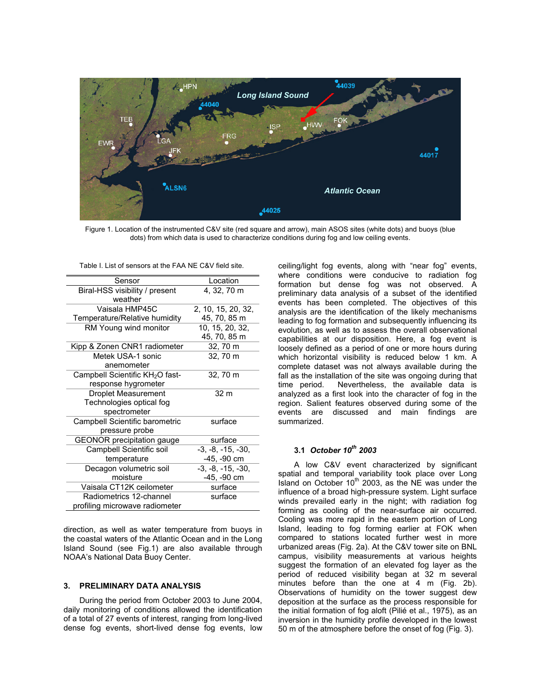

Figure 1. Location of the instrumented C&V site (red square and arrow), main ASOS sites (white dots) and buoys (blue dots) from which data is used to characterize conditions during fog and low ceiling events.

| Sensor                                      | Location            |
|---------------------------------------------|---------------------|
| Biral-HSS visibility / present              | 4, 32, 70 m         |
| weather                                     |                     |
| Vaisala HMP45C                              | 2, 10, 15, 20, 32,  |
| Temperature/Relative humidity               | 45, 70, 85 m        |
| RM Young wind monitor                       | 10, 15, 20, 32,     |
|                                             | 45, 70, 85 m        |
| Kipp & Zonen CNR1 radiometer                | 32, 70 m            |
| Metek USA-1 sonic                           | 32, 70 m            |
| anemometer                                  |                     |
| Campbell Scientific KH <sub>2</sub> O fast- | 32, 70 m            |
| response hygrometer                         |                     |
| <b>Droplet Measurement</b>                  | 32 <sub>m</sub>     |
| Technologies optical fog                    |                     |
| spectrometer                                |                     |
| Campbell Scientific barometric              | surface             |
| pressure probe                              |                     |
| <b>GEONOR</b> precipitation gauge           | surface             |
| Campbell Scientific soil                    | $-3, -8, -15, -30,$ |
| temperature                                 | -45, -90 cm         |
| Decagon volumetric soil                     | $-3, -8, -15, -30,$ |
| moisture                                    | -45, -90 cm         |
| Vaisala CT12K ceilometer                    | surface             |
| Radiometrics 12-channel                     | surface             |
| profiling microwave radiometer              |                     |

Table I. List of sensors at the FAA NE C&V field site.

direction, as well as water temperature from buoys in the coastal waters of the Atlantic Ocean and in the Long Island Sound (see Fig.1) are also available through NOAA's National Data Buoy Center.

#### **3. PRELIMINARY DATA ANALYSIS**

During the period from October 2003 to June 2004, daily monitoring of conditions allowed the identification of a total of 27 events of interest, ranging from long-lived dense fog events, short-lived dense fog events, low ceiling/light fog events, along with "near fog" events, where conditions were conducive to radiation fog formation but dense fog was not observed. A preliminary data analysis of a subset of the identified events has been completed. The objectives of this analysis are the identification of the likely mechanisms leading to fog formation and subsequently influencing its evolution, as well as to assess the overall observational capabilities at our disposition. Here, a fog event is loosely defined as a period of one or more hours during which horizontal visibility is reduced below 1 km. A complete dataset was not always available during the fall as the installation of the site was ongoing during that time period. Nevertheless, the available data is analyzed as a first look into the character of fog in the region. Salient features observed during some of the events are discussed and main findings are summarized.

# **3.1** *October 10th 2003*

A low C&V event characterized by significant spatial and temporal variability took place over Long Island on October  $10<sup>th</sup>$  2003, as the NE was under the influence of a broad high-pressure system. Light surface winds prevailed early in the night; with radiation fog forming as cooling of the near-surface air occurred. Cooling was more rapid in the eastern portion of Long Island, leading to fog forming earlier at FOK when compared to stations located further west in more urbanized areas (Fig. 2a). At the C&V tower site on BNL campus, visibility measurements at various heights suggest the formation of an elevated fog layer as the period of reduced visibility began at 32 m several minutes before than the one at 4 m (Fig. 2b). Observations of humidity on the tower suggest dew deposition at the surface as the process responsible for the initial formation of fog aloft (Pilié et al., 1975), as an inversion in the humidity profile developed in the lowest 50 m of the atmosphere before the onset of fog (Fig. 3).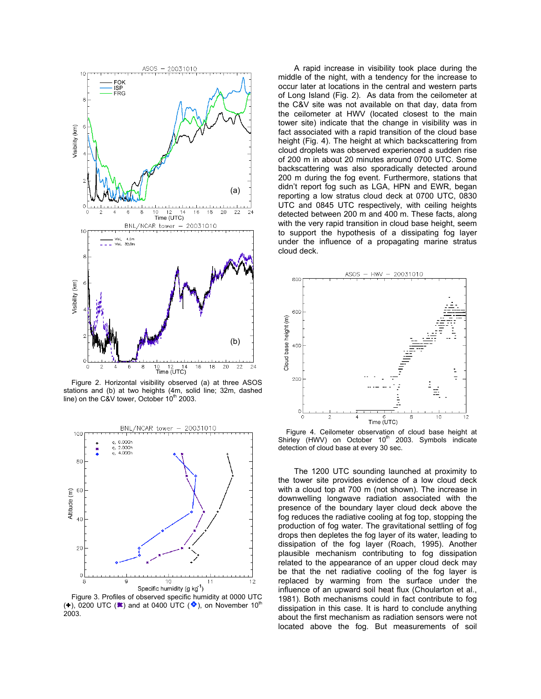

Figure 2. Horizontal visibility observed (a) at three ASOS stations and (b) at two heights (4m, solid line; 32m, dashed line) on the C&V tower, October  $10^{th}$  2003.



Figure 3. Profiles of observed specific humidity at 0000 UTC (+), 0200 UTC ( $\blacktriangleright$ ) and at 0400 UTC ( $\blacklozenge$ ), on November 10<sup>th</sup> 2003.

A rapid increase in visibility took place during the middle of the night, with a tendency for the increase to occur later at locations in the central and western parts of Long Island (Fig. 2). As data from the ceilometer at the C&V site was not available on that day, data from the ceilometer at HWV (located closest to the main tower site) indicate that the change in visibility was in fact associated with a rapid transition of the cloud base height (Fig. 4). The height at which backscattering from cloud droplets was observed experienced a sudden rise of 200 m in about 20 minutes around 0700 UTC. Some backscattering was also sporadically detected around 200 m during the fog event. Furthermore, stations that didn't report fog such as LGA, HPN and EWR, began reporting a low stratus cloud deck at 0700 UTC, 0830 UTC and 0845 UTC respectively, with ceiling heights detected between 200 m and 400 m. These facts, along with the very rapid transition in cloud base height, seem to support the hypothesis of a dissipating fog layer under the influence of a propagating marine stratus cloud deck.



Figure 4. Ceilometer observation of cloud base height at Shirley (HWV) on October 10<sup>th</sup> 2003. Symbols indicate detection of cloud base at every 30 sec.

The 1200 UTC sounding launched at proximity to the tower site provides evidence of a low cloud deck with a cloud top at 700 m (not shown). The increase in downwelling longwave radiation associated with the presence of the boundary layer cloud deck above the fog reduces the radiative cooling at fog top, stopping the production of fog water. The gravitational settling of fog drops then depletes the fog layer of its water, leading to dissipation of the fog layer (Roach, 1995). Another plausible mechanism contributing to fog dissipation related to the appearance of an upper cloud deck may be that the net radiative cooling of the fog layer is replaced by warming from the surface under the influence of an upward soil heat flux (Choularton et al., 1981). Both mechanisms could in fact contribute to fog dissipation in this case. It is hard to conclude anything about the first mechanism as radiation sensors were not located above the fog. But measurements of soil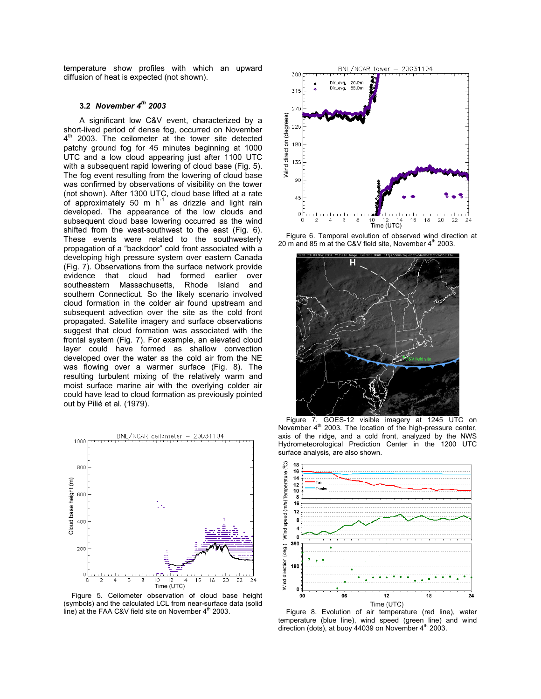temperature show profiles with which an upward diffusion of heat is expected (not shown).

# **3.2** *November 4th 2003*

A significant low C&V event, characterized by a short-lived period of dense fog, occurred on November 4<sup>th</sup> 2003. The ceilometer at the tower site detected patchy ground fog for 45 minutes beginning at 1000 UTC and a low cloud appearing just after 1100 UTC with a subsequent rapid lowering of cloud base (Fig. 5). The fog event resulting from the lowering of cloud base was confirmed by observations of visibility on the tower (not shown). After 1300 UTC, cloud base lifted at a rate of approximately 50 m  $h^{-1}$  as drizzle and light rain developed. The appearance of the low clouds and subsequent cloud base lowering occurred as the wind shifted from the west-southwest to the east (Fig. 6). These events were related to the southwesterly propagation of a "backdoor" cold front associated with a developing high pressure system over eastern Canada (Fig. 7). Observations from the surface network provide evidence that cloud had formed earlier over southeastern Massachusetts, Rhode Island and southern Connecticut. So the likely scenario involved cloud formation in the colder air found upstream and subsequent advection over the site as the cold front propagated. Satellite imagery and surface observations suggest that cloud formation was associated with the frontal system (Fig. 7). For example, an elevated cloud layer could have formed as shallow convection developed over the water as the cold air from the NE was flowing over a warmer surface (Fig. 8). The resulting turbulent mixing of the relatively warm and moist surface marine air with the overlying colder air could have lead to cloud formation as previously pointed out by Pilié et al. (1979).



Figure 5. Ceilometer observation of cloud base height (symbols) and the calculated LCL from near-surface data (solid line) at the FAA C&V field site on November  $4<sup>th</sup>$  2003.



Figure 6. Temporal evolution of observed wind direction at 20 m and 85 m at the C&V field site, November  $4<sup>th</sup>$  2003.



Figure 7. GOES-12 visible imagery at 1245 UTC on November 4<sup>th</sup> 2003. The location of the high-pressure center, axis of the ridge, and a cold front, analyzed by the NWS Hydrometeorological Prediction Center in the 1200 UTC surface analysis, are also shown.



Figure 8. Evolution of air temperature (red line), water temperature (blue line), wind speed (green line) and wind direction (dots), at buoy 44039 on November  $4<sup>th</sup>$  2003.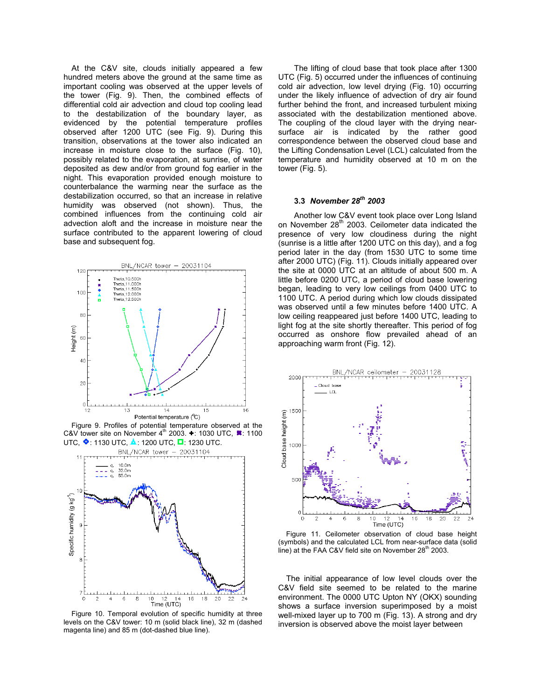At the C&V site, clouds initially appeared a few hundred meters above the ground at the same time as important cooling was observed at the upper levels of the tower (Fig. 9). Then, the combined effects of differential cold air advection and cloud top cooling lead to the destabilization of the boundary layer, as evidenced by the potential temperature profiles observed after 1200 UTC (see Fig. 9). During this transition, observations at the tower also indicated an increase in moisture close to the surface (Fig. 10), possibly related to the evaporation, at sunrise, of water deposited as dew and/or from ground fog earlier in the night. This evaporation provided enough moisture to counterbalance the warming near the surface as the destabilization occurred, so that an increase in relative humidity was observed (not shown). Thus, the combined influences from the continuing cold air advection aloft and the increase in moisture near the surface contributed to the apparent lowering of cloud base and subsequent fog.



Figure 9. Profiles of potential temperature observed at the C&V tower site on November  $4^{\text{th}}$  2003.  $\div$ : 1030 UTC,  $\blacktriangleright$ : 1100 UTC,  $\bigcirc$ : 1130 UTC,  $\bigcirc$ : 1200 UTC,  $\bigcirc$ : 1230 UTC.



Figure 10. Temporal evolution of specific humidity at three levels on the C&V tower: 10 m (solid black line), 32 m (dashed magenta line) and 85 m (dot-dashed blue line).

The lifting of cloud base that took place after 1300 UTC (Fig. 5) occurred under the influences of continuing cold air advection, low level drying (Fig. 10) occurring under the likely influence of advection of dry air found further behind the front, and increased turbulent mixing associated with the destabilization mentioned above. The coupling of the cloud layer with the drying nearsurface air is indicated by the rather good correspondence between the observed cloud base and the Lifting Condensation Level (LCL) calculated from the temperature and humidity observed at 10 m on the tower (Fig. 5).

# **3.3** *November 28th 2003*

Another low C&V event took place over Long Island on November 28<sup>th</sup> 2003. Ceilometer data indicated the presence of very low cloudiness during the night (sunrise is a little after 1200 UTC on this day), and a fog period later in the day (from 1530 UTC to some time after 2000 UTC) (Fig. 11). Clouds initially appeared over the site at 0000 UTC at an altitude of about 500 m. A little before 0200 UTC, a period of cloud base lowering began, leading to very low ceilings from 0400 UTC to 1100 UTC. A period during which low clouds dissipated was observed until a few minutes before 1400 UTC. A low ceiling reappeared just before 1400 UTC, leading to light fog at the site shortly thereafter. This period of fog occurred as onshore flow prevailed ahead of an approaching warm front (Fig. 12).



Figure 11. Ceilometer observation of cloud base height (symbols) and the calculated LCL from near-surface data (solid line) at the FAA C&V field site on November  $28<sup>th</sup>$  2003.

The initial appearance of low level clouds over the C&V field site seemed to be related to the marine environment. The 0000 UTC Upton NY (OKX) sounding shows a surface inversion superimposed by a moist well-mixed layer up to 700 m (Fig. 13). A strong and dry inversion is observed above the moist layer between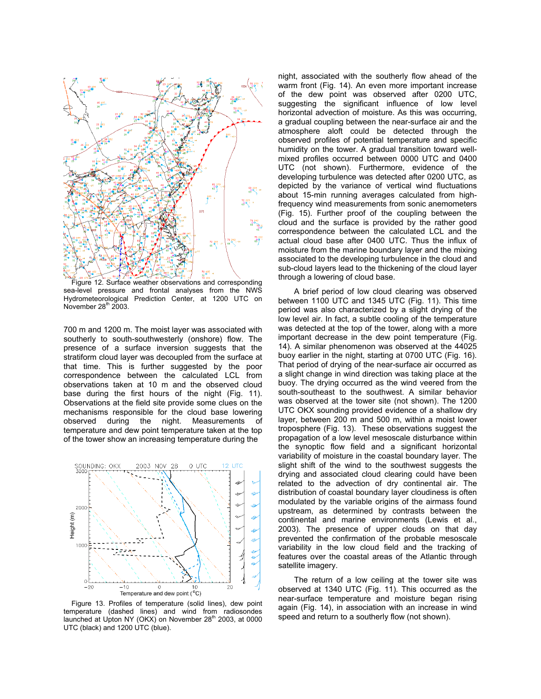

Figure 12. Surface weather observations and corresponding sea-level pressure and frontal analyses from the NWS Hydrometeorological Prediction Center, at 1200 UTC on November  $28<sup>th</sup>$  2003.

700 m and 1200 m. The moist layer was associated with southerly to south-southwesterly (onshore) flow. The presence of a surface inversion suggests that the stratiform cloud layer was decoupled from the surface at that time. This is further suggested by the poor correspondence between the calculated LCL from observations taken at 10 m and the observed cloud base during the first hours of the night (Fig. 11). Observations at the field site provide some clues on the mechanisms responsible for the cloud base lowering observed during the night. Measurements of temperature and dew point temperature taken at the top of the tower show an increasing temperature during the



Figure 13. Profiles of temperature (solid lines), dew point temperature (dashed lines) and wind from radiosondes launched at Upton NY (OKX) on November  $28<sup>th</sup>$  2003, at 0000 UTC (black) and 1200 UTC (blue).

night, associated with the southerly flow ahead of the warm front (Fig. 14). An even more important increase of the dew point was observed after 0200 UTC, suggesting the significant influence of low level horizontal advection of moisture. As this was occurring, a gradual coupling between the near-surface air and the atmosphere aloft could be detected through the observed profiles of potential temperature and specific humidity on the tower. A gradual transition toward wellmixed profiles occurred between 0000 UTC and 0400 UTC (not shown). Furthermore, evidence of the developing turbulence was detected after 0200 UTC, as depicted by the variance of vertical wind fluctuations about 15-min running averages calculated from highfrequency wind measurements from sonic anemometers (Fig. 15). Further proof of the coupling between the cloud and the surface is provided by the rather good correspondence between the calculated LCL and the actual cloud base after 0400 UTC. Thus the influx of moisture from the marine boundary layer and the mixing associated to the developing turbulence in the cloud and sub-cloud layers lead to the thickening of the cloud layer through a lowering of cloud base.

A brief period of low cloud clearing was observed between 1100 UTC and 1345 UTC (Fig. 11). This time period was also characterized by a slight drying of the low level air. In fact, a subtle cooling of the temperature was detected at the top of the tower, along with a more important decrease in the dew point temperature (Fig. 14). A similar phenomenon was observed at the 44025 buoy earlier in the night, starting at 0700 UTC (Fig. 16). That period of drying of the near-surface air occurred as a slight change in wind direction was taking place at the buoy. The drying occurred as the wind veered from the south-southeast to the southwest. A similar behavior was observed at the tower site (not shown). The 1200 UTC OKX sounding provided evidence of a shallow dry layer, between 200 m and 500 m, within a moist lower troposphere (Fig. 13). These observations suggest the propagation of a low level mesoscale disturbance within the synoptic flow field and a significant horizontal variability of moisture in the coastal boundary layer. The slight shift of the wind to the southwest suggests the drying and associated cloud clearing could have been related to the advection of dry continental air. The distribution of coastal boundary layer cloudiness is often modulated by the variable origins of the airmass found upstream, as determined by contrasts between the continental and marine environments (Lewis et al., 2003). The presence of upper clouds on that day prevented the confirmation of the probable mesoscale variability in the low cloud field and the tracking of features over the coastal areas of the Atlantic through satellite imagery.

The return of a low ceiling at the tower site was observed at 1340 UTC (Fig. 11). This occurred as the near-surface temperature and moisture began rising again (Fig. 14), in association with an increase in wind speed and return to a southerly flow (not shown).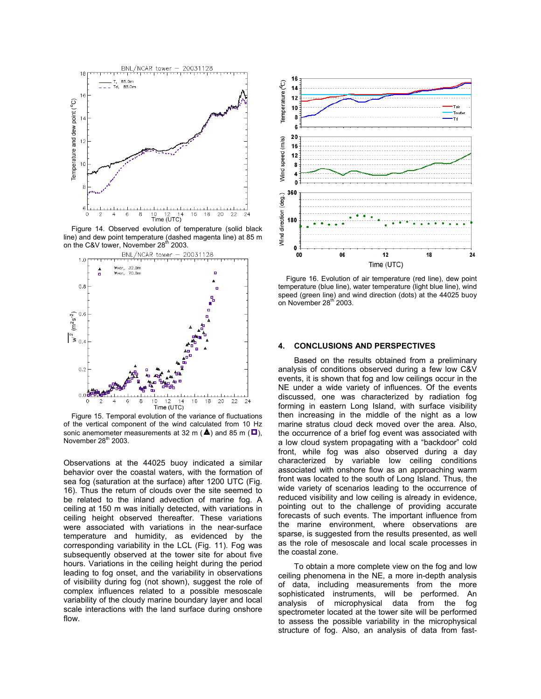

Figure 14. Observed evolution of temperature (solid black line) and dew point temperature (dashed magenta line) at 85 m on the C&V tower, November 28<sup>th</sup> 2003.<br>BNL/NCAR tower - 20031128



Figure 15. Temporal evolution of the variance of fluctuations of the vertical component of the wind calculated from 10 Hz sonic anemometer measurements at 32 m ( $\triangle$ ) and 85 m ( $\square$ ), November  $28<sup>th</sup>$  2003.

Observations at the 44025 buoy indicated a similar behavior over the coastal waters, with the formation of sea fog (saturation at the surface) after 1200 UTC (Fig. 16). Thus the return of clouds over the site seemed to be related to the inland advection of marine fog. A ceiling at 150 m was initially detected, with variations in ceiling height observed thereafter. These variations were associated with variations in the near-surface temperature and humidity, as evidenced by the corresponding variability in the LCL (Fig. 11). Fog was subsequently observed at the tower site for about five hours. Variations in the ceiling height during the period leading to fog onset, and the variability in observations of visibility during fog (not shown), suggest the role of complex influences related to a possible mesoscale variability of the cloudy marine boundary layer and local scale interactions with the land surface during onshore flow.



Figure 16. Evolution of air temperature (red line), dew point temperature (blue line), water temperature (light blue line), wind speed (green line) and wind direction (dots) at the 44025 buoy on November 28th 2003.

## **4. CONCLUSIONS AND PERSPECTIVES**

Based on the results obtained from a preliminary analysis of conditions observed during a few low C&V events, it is shown that fog and low ceilings occur in the NE under a wide variety of influences. Of the events discussed, one was characterized by radiation fog forming in eastern Long Island, with surface visibility then increasing in the middle of the night as a low marine stratus cloud deck moved over the area. Also, the occurrence of a brief fog event was associated with a low cloud system propagating with a "backdoor" cold front, while fog was also observed during a day characterized by variable low ceiling conditions associated with onshore flow as an approaching warm front was located to the south of Long Island. Thus, the wide variety of scenarios leading to the occurrence of reduced visibility and low ceiling is already in evidence, pointing out to the challenge of providing accurate forecasts of such events. The important influence from the marine environment, where observations are sparse, is suggested from the results presented, as well as the role of mesoscale and local scale processes in the coastal zone.

To obtain a more complete view on the fog and low ceiling phenomena in the NE, a more in-depth analysis of data, including measurements from the more sophisticated instruments, will be performed. An analysis of microphysical data from the fog spectrometer located at the tower site will be performed to assess the possible variability in the microphysical structure of fog. Also, an analysis of data from fast